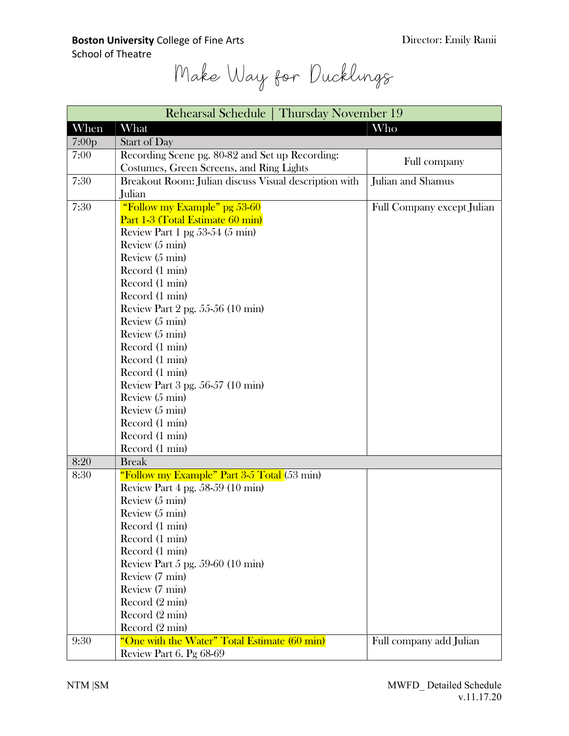Make Way for Ducklings

| Rehearsal Schedule   Thursday November 19 |                                                       |                            |
|-------------------------------------------|-------------------------------------------------------|----------------------------|
| When                                      | What                                                  | Who                        |
| 7:00 <sub>p</sub>                         | <b>Start of Day</b>                                   |                            |
| 7:00                                      | Recording Scene pg. 80-82 and Set up Recording:       |                            |
|                                           | Costumes, Green Screens, and Ring Lights              | Full company               |
| 7:30                                      | Breakout Room: Julian discuss Visual description with | Julian and Shamus          |
|                                           | Julian                                                |                            |
| 7:30                                      | "Follow my Example" pg 53-60                          | Full Company except Julian |
|                                           | Part 1-3 (Total Estimate 60 min)                      |                            |
|                                           | Review Part 1 pg $53-54$ (5 min)                      |                            |
|                                           | Review (5 min)                                        |                            |
|                                           | Review $(5 \text{ min})$                              |                            |
|                                           | Record (1 min)                                        |                            |
|                                           | Record (1 min)                                        |                            |
|                                           | Record (1 min)                                        |                            |
|                                           | Review Part 2 pg. 55-56 (10 min)                      |                            |
|                                           | Review (5 min)                                        |                            |
|                                           | Review $(5 \text{ min})$                              |                            |
|                                           | Record (1 min)                                        |                            |
|                                           | Record (1 min)                                        |                            |
|                                           | Record (1 min)                                        |                            |
|                                           | Review Part 3 pg. 56-57 (10 min)                      |                            |
|                                           | Review $(5 \text{ min})$                              |                            |
|                                           | Review (5 min)                                        |                            |
|                                           | Record (1 min)                                        |                            |
|                                           | Record (1 min)                                        |                            |
|                                           | Record (1 min)                                        |                            |
| 8:20                                      | <b>Break</b>                                          |                            |
| 8:30                                      | "Follow my Example" Part 3-5 Total (53 min)           |                            |
|                                           | Review Part 4 pg. 58-59 (10 min)                      |                            |
|                                           | Review (5 min)                                        |                            |
|                                           | Review $(5 \text{ min})$                              |                            |
|                                           | Record (1 min)                                        |                            |
|                                           | Record (1 min)                                        |                            |
|                                           | Record (1 min)                                        |                            |
|                                           | Review Part $5$ pg. $59-60$ (10 min)                  |                            |
|                                           | Review (7 min)                                        |                            |
|                                           | Review (7 min)                                        |                            |
|                                           | Record $(2 \text{ min})$                              |                            |
|                                           | Record (2 min)                                        |                            |
|                                           | Record (2 min)                                        |                            |
| 9:30                                      | "One with the Water" Total Estimate (60 min)          | Full company add Julian    |
|                                           | Review Part 6. Pg 68-69                               |                            |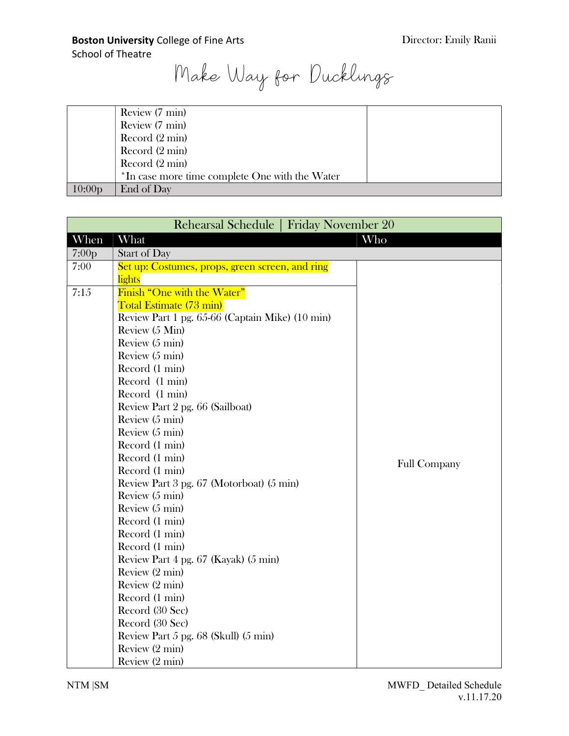Make Way for Ducklings

|                    | Review (7 min)                                 |
|--------------------|------------------------------------------------|
|                    | Review (7 min)                                 |
|                    | Record $(2 \text{ min})$                       |
|                    | Record $(2 \text{ min})$                       |
|                    | Record $(2 \text{ min})$                       |
|                    | *In case more time complete One with the Water |
| 10:00 <sub>p</sub> | End of Day                                     |

| <b>Friday November 20</b><br>Rehearsal Schedule |                                                 |                     |
|-------------------------------------------------|-------------------------------------------------|---------------------|
| When                                            | What                                            | Who                 |
| 7:00p                                           | <b>Start of Day</b>                             |                     |
| 7:00                                            | Set up: Costumes, props, green screen, and ring |                     |
|                                                 | <b>lights</b>                                   |                     |
| 7:15                                            | <b>Finish "One with the Water"</b>              |                     |
|                                                 | Total Estimate (73 min)                         |                     |
|                                                 | Review Part 1 pg. 65-66 (Captain Mike) (10 min) |                     |
|                                                 | Review (5 Min)                                  |                     |
|                                                 | Review $(5 \text{ min})$                        |                     |
|                                                 | Review $(5 \text{ min})$                        |                     |
|                                                 | Record (1 min)                                  |                     |
|                                                 | Record (1 min)                                  |                     |
|                                                 | Record (1 min)                                  |                     |
|                                                 | Review Part 2 pg. 66 (Sailboat)                 |                     |
|                                                 | Review (5 min)                                  |                     |
|                                                 | Review (5 min)                                  |                     |
|                                                 | Record (1 min)                                  |                     |
|                                                 | Record (1 min)                                  | <b>Full Company</b> |
|                                                 | Record (1 min)                                  |                     |
|                                                 | Review Part 3 pg. 67 (Motorboat) (5 min)        |                     |
|                                                 | Review $(5 \text{ min})$                        |                     |
|                                                 | Review $(5 \text{ min})$                        |                     |
|                                                 | Record (1 min)                                  |                     |
|                                                 | Record (1 min)                                  |                     |
|                                                 | Record (1 min)                                  |                     |
|                                                 | Review Part 4 pg. 67 (Kayak) (5 min)            |                     |
|                                                 | Review (2 min)                                  |                     |
|                                                 | Review (2 min)                                  |                     |
|                                                 | Record (1 min)                                  |                     |
|                                                 | Record (30 Sec)                                 |                     |
|                                                 | Record (30 Sec)                                 |                     |
|                                                 | Review Part 5 pg. 68 (Skull) (5 min)            |                     |
|                                                 | Review (2 min)                                  |                     |
|                                                 | Review (2 min)                                  |                     |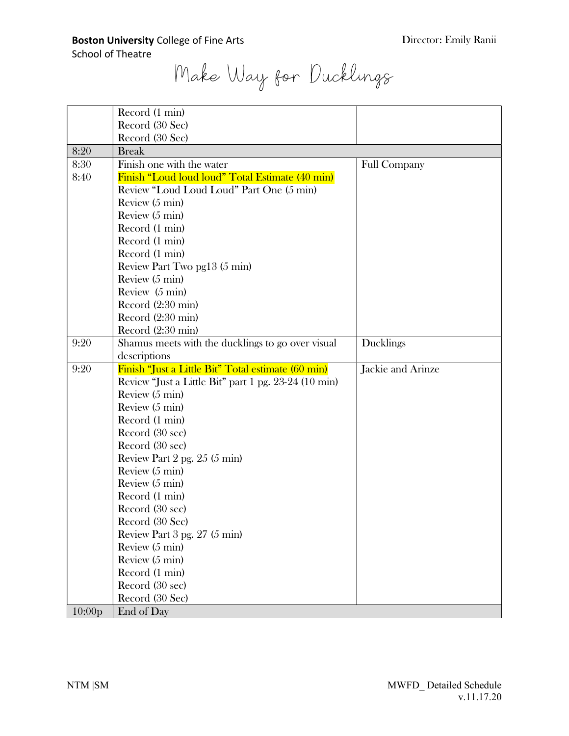Make Way for Ducklings

|      | Record (1 min)                                       |                     |
|------|------------------------------------------------------|---------------------|
|      | Record (30 Sec)                                      |                     |
|      | Record (30 Sec)                                      |                     |
| 8:20 | <b>Break</b>                                         |                     |
| 8:30 | Finish one with the water                            | <b>Full Company</b> |
| 8:40 | Finish "Loud loud loud" Total Estimate (40 min)      |                     |
|      | Review "Loud Loud Loud" Part One (5 min)             |                     |
|      | Review (5 min)                                       |                     |
|      | Review $(5 \text{ min})$                             |                     |
|      | Record (1 min)                                       |                     |
|      | Record (1 min)                                       |                     |
|      | Record (1 min)                                       |                     |
|      | Review Part Two pg13 (5 min)                         |                     |
|      | Review (5 min)                                       |                     |
|      | Review (5 min)                                       |                     |
|      | Record (2:30 min)                                    |                     |
|      | Record (2:30 min)                                    |                     |
|      | Record (2:30 min)                                    |                     |
| 9:20 | Shamus meets with the ducklings to go over visual    | <b>Ducklings</b>    |
|      | descriptions                                         |                     |
|      |                                                      |                     |
| 9:20 | Finish "Just a Little Bit" Total estimate (60 min)   | Jackie and Arinze   |
|      | Review "Just a Little Bit" part 1 pg. 23-24 (10 min) |                     |
|      | Review $(5 \text{ min})$                             |                     |
|      | Review $(5 \text{ min})$                             |                     |
|      | Record (1 min)                                       |                     |
|      | Record (30 sec)                                      |                     |
|      | Record (30 sec)                                      |                     |
|      | Review Part $2$ pg. $25(5 \text{ min})$              |                     |
|      | Review (5 min)                                       |                     |
|      | Review $(5 \text{ min})$                             |                     |
|      | Record (1 min)                                       |                     |
|      | Record (30 sec)                                      |                     |
|      | Record (30 Sec)                                      |                     |
|      | Review Part 3 pg. 27 (5 min)                         |                     |
|      | Review $(5 \text{ min})$                             |                     |
|      | Review (5 min)                                       |                     |
|      | Record (1 min)                                       |                     |
|      | Record (30 sec)                                      |                     |
|      | Record (30 Sec)                                      |                     |